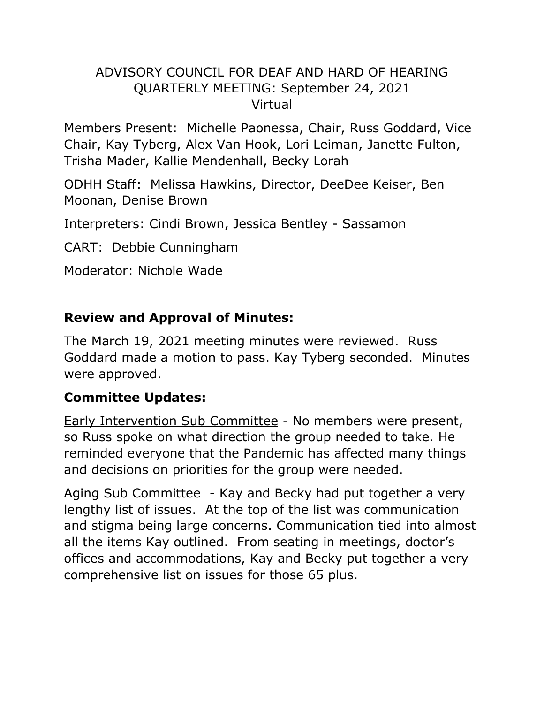## ADVISORY COUNCIL FOR DEAF AND HARD OF HEARING QUARTERLY MEETING: September 24, 2021 Virtual

Members Present: Michelle Paonessa, Chair, Russ Goddard, Vice Chair, Kay Tyberg, Alex Van Hook, Lori Leiman, Janette Fulton, Trisha Mader, Kallie Mendenhall, Becky Lorah

ODHH Staff: Melissa Hawkins, Director, DeeDee Keiser, Ben Moonan, Denise Brown

Interpreters: Cindi Brown, Jessica Bentley - Sassamon

CART: Debbie Cunningham

Moderator: Nichole Wade

#### **Review and Approval of Minutes:**

The March 19, 2021 meeting minutes were reviewed. Russ Goddard made a motion to pass. Kay Tyberg seconded. Minutes were approved.

#### **Committee Updates:**

Early Intervention Sub Committee - No members were present, so Russ spoke on what direction the group needed to take. He reminded everyone that the Pandemic has affected many things and decisions on priorities for the group were needed.

Aging Sub Committee - Kay and Becky had put together a very lengthy list of issues. At the top of the list was communication and stigma being large concerns. Communication tied into almost all the items Kay outlined. From seating in meetings, doctor's offices and accommodations, Kay and Becky put together a very comprehensive list on issues for those 65 plus.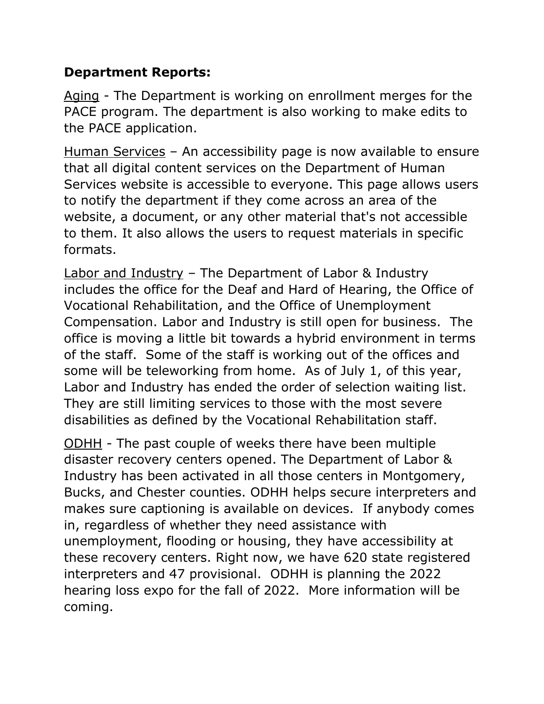## **Department Reports:**

Aging - The Department is working on enrollment merges for the PACE program. The department is also working to make edits to the PACE application.

Human Services - An accessibility page is now available to ensure that all digital content services on the Department of Human Services website is accessible to everyone. This page allows users to notify the department if they come across an area of the website, a document, or any other material that's not accessible to them. It also allows the users to request materials in specific formats.

Labor and Industry – The Department of Labor & Industry includes the office for the Deaf and Hard of Hearing, the Office of Vocational Rehabilitation, and the Office of Unemployment Compensation. Labor and Industry is still open for business. The office is moving a little bit towards a hybrid environment in terms of the staff. Some of the staff is working out of the offices and some will be teleworking from home. As of July 1, of this year, Labor and Industry has ended the order of selection waiting list. They are still limiting services to those with the most severe disabilities as defined by the Vocational Rehabilitation staff.

ODHH - The past couple of weeks there have been multiple disaster recovery centers opened. The Department of Labor & Industry has been activated in all those centers in Montgomery, Bucks, and Chester counties. ODHH helps secure interpreters and makes sure captioning is available on devices. If anybody comes in, regardless of whether they need assistance with unemployment, flooding or housing, they have accessibility at these recovery centers. Right now, we have 620 state registered interpreters and 47 provisional. ODHH is planning the 2022 hearing loss expo for the fall of 2022. More information will be coming.